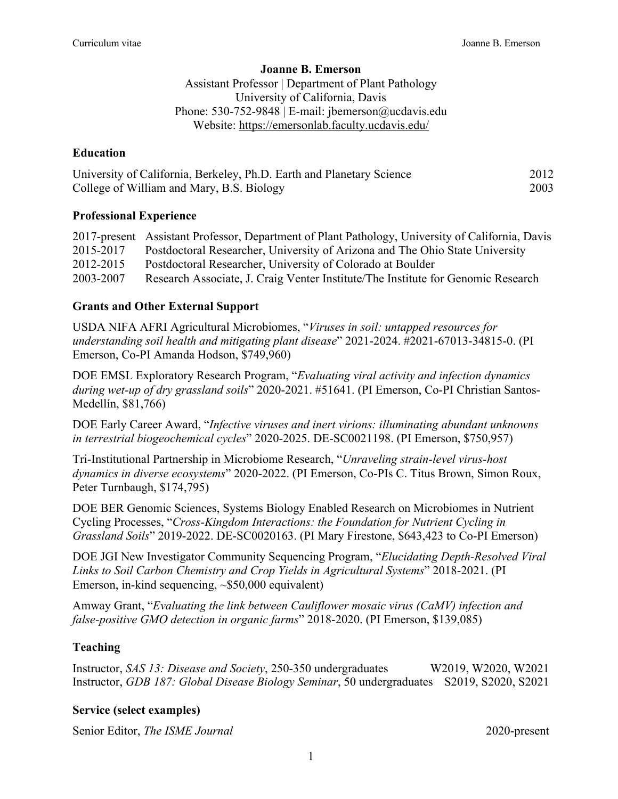### **Joanne B. Emerson**

Assistant Professor | Department of Plant Pathology University of California, Davis Phone: 530-752-9848 | E-mail: jbemerson@ucdavis.edu Website: https://emersonlab.faculty.ucdavis.edu/

## **Education**

| University of California, Berkeley, Ph.D. Earth and Planetary Science | 2012 |
|-----------------------------------------------------------------------|------|
| College of William and Mary, B.S. Biology                             | 2003 |

## **Professional Experience**

|           | 2017-present Assistant Professor, Department of Plant Pathology, University of California, Davis |
|-----------|--------------------------------------------------------------------------------------------------|
| 2015-2017 | Postdoctoral Researcher, University of Arizona and The Ohio State University                     |
| 2012-2015 | Postdoctoral Researcher, University of Colorado at Boulder                                       |
| 2003-2007 | Research Associate, J. Craig Venter Institute/The Institute for Genomic Research                 |

# **Grants and Other External Support**

USDA NIFA AFRI Agricultural Microbiomes, "*Viruses in soil: untapped resources for understanding soil health and mitigating plant disease*" 2021-2024. #2021-67013-34815-0. (PI Emerson, Co-PI Amanda Hodson, \$749,960)

DOE EMSL Exploratory Research Program, "*Evaluating viral activity and infection dynamics during wet-up of dry grassland soils*" 2020-2021. #51641. (PI Emerson, Co-PI Christian Santos-Medellín, \$81,766)

DOE Early Career Award, "*Infective viruses and inert virions: illuminating abundant unknowns in terrestrial biogeochemical cycles*" 2020-2025. DE-SC0021198. (PI Emerson, \$750,957)

Tri-Institutional Partnership in Microbiome Research, "*Unraveling strain-level virus-host dynamics in diverse ecosystems*" 2020-2022. (PI Emerson, Co-PIs C. Titus Brown, Simon Roux, Peter Turnbaugh, \$174,795)

DOE BER Genomic Sciences, Systems Biology Enabled Research on Microbiomes in Nutrient Cycling Processes, "*Cross-Kingdom Interactions: the Foundation for Nutrient Cycling in Grassland Soils*" 2019-2022. DE-SC0020163. (PI Mary Firestone, \$643,423 to Co-PI Emerson)

DOE JGI New Investigator Community Sequencing Program, "*Elucidating Depth-Resolved Viral Links to Soil Carbon Chemistry and Crop Yields in Agricultural Systems*" 2018-2021. (PI Emerson, in-kind sequencing, ~\$50,000 equivalent)

Amway Grant, "*Evaluating the link between Cauliflower mosaic virus (CaMV) infection and false-positive GMO detection in organic farms*" 2018-2020. (PI Emerson, \$139,085)

# **Teaching**

Instructor, *SAS 13: Disease and Society*, 250-350 undergraduates W2019, W2020, W2021 Instructor, *GDB 187: Global Disease Biology Seminar*, 50 undergraduates S2019, S2020, S2021

# **Service (select examples)**

Senior Editor, *The ISME Journal* 2020-present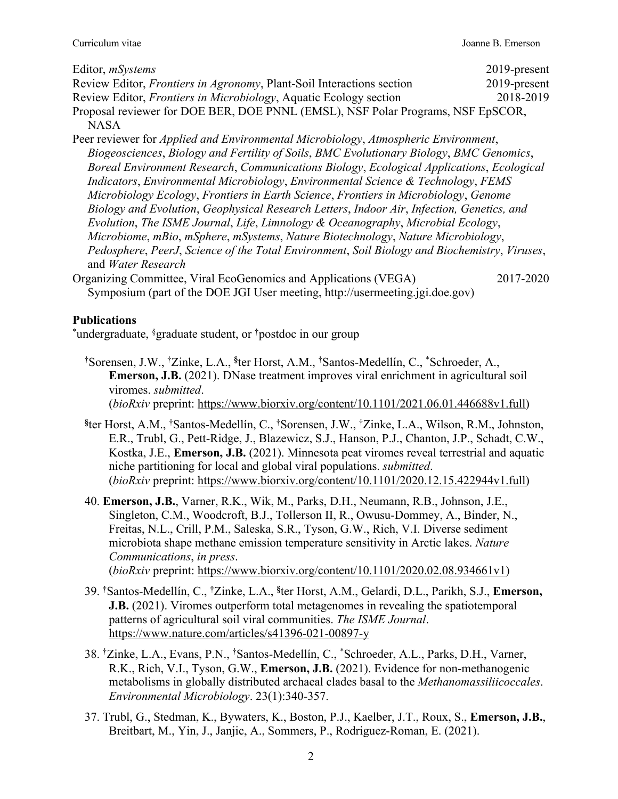| Editor, <i>mSystems</i>                                                         | $2019$ -present |
|---------------------------------------------------------------------------------|-----------------|
| Review Editor, Frontiers in Agronomy, Plant-Soil Interactions section           | $2019$ -present |
| Review Editor, <i>Frontiers in Microbiology</i> , Aquatic Ecology section       | 2018-2019       |
| Proposal reviewer for DOE BER, DOE PNNL (EMSL), NSF Polar Programs, NSF EpSCOR, |                 |
| <b>NASA</b>                                                                     |                 |

- Peer reviewer for *Applied and Environmental Microbiology*, *Atmospheric Environment*, *Biogeosciences*, *Biology and Fertility of Soils*, *BMC Evolutionary Biology*, *BMC Genomics*, *Boreal Environment Research*, *Communications Biology*, *Ecological Applications*, *Ecological Indicators*, *Environmental Microbiology*, *Environmental Science & Technology*, *FEMS Microbiology Ecology*, *Frontiers in Earth Science*, *Frontiers in Microbiology*, *Genome Biology and Evolution*, *Geophysical Research Letters*, *Indoor Air*, *Infection, Genetics, and Evolution*, *The ISME Journal*, *Life*, *Limnology & Oceanography*, *Microbial Ecology*, *Microbiome*, *mBio*, *mSphere*, *mSystems*, *Nature Biotechnology*, *Nature Microbiology*,  *Pedosphere*, *PeerJ*, *Science of the Total Environment*, *Soil Biology and Biochemistry*, *Viruses*, and *Water Research*
- Organizing Committee, Viral EcoGenomics and Applications (VEGA) 2017-2020 Symposium (part of the DOE JGI User meeting, http://usermeeting.jgi.doe.gov)

## **Publications**

\*undergraduate, §graduate student, or †postdoc in our group

- **†** Sorensen, J.W., **†** Zinke, L.A., **§** ter Horst, A.M., **†** Santos-Medellín, C., \* Schroeder, A., **Emerson, J.B.** (2021). DNase treatment improves viral enrichment in agricultural soil viromes. *submitted*. (*bioRxiv* preprint: https://www.biorxiv.org/content/10.1101/2021.06.01.446688v1.full)
- **§** ter Horst, A.M., **†** Santos-Medellín, C., **†** Sorensen, J.W., **†** Zinke, L.A., Wilson, R.M., Johnston, E.R., Trubl, G., Pett-Ridge, J., Blazewicz, S.J., Hanson, P.J., Chanton, J.P., Schadt, C.W., Kostka, J.E., **Emerson, J.B.** (2021). Minnesota peat viromes reveal terrestrial and aquatic niche partitioning for local and global viral populations. *submitted*. (*bioRxiv* preprint: https://www.biorxiv.org/content/10.1101/2020.12.15.422944v1.full)
	- 40. **Emerson, J.B.**, Varner, R.K., Wik, M., Parks, D.H., Neumann, R.B., Johnson, J.E., Singleton, C.M., Woodcroft, B.J., Tollerson II, R., Owusu-Dommey, A., Binder, N., Freitas, N.L., Crill, P.M., Saleska, S.R., Tyson, G.W., Rich, V.I. Diverse sediment microbiota shape methane emission temperature sensitivity in Arctic lakes. *Nature Communications*, *in press*. (*bioRxiv* preprint: https://www.biorxiv.org/content/10.1101/2020.02.08.934661v1)
- 39. **†** Santos-Medellín, C., **†** Zinke, L.A., **§** ter Horst, A.M., Gelardi, D.L., Parikh, S.J., **Emerson, J.B.** (2021). Viromes outperform total metagenomes in revealing the spatiotemporal patterns of agricultural soil viral communities. *The ISME Journal*. https://www.nature.com/articles/s41396-021-00897-y
- 38. **†** Zinke, L.A., Evans, P.N., **†** Santos-Medellín, C., \* Schroeder, A.L., Parks, D.H., Varner, R.K., Rich, V.I., Tyson, G.W., **Emerson, J.B.** (2021). Evidence for non-methanogenic metabolisms in globally distributed archaeal clades basal to the *Methanomassiliicoccales*. *Environmental Microbiology*. 23(1):340-357.
	- 37. Trubl, G., Stedman, K., Bywaters, K., Boston, P.J., Kaelber, J.T., Roux, S., **Emerson, J.B.**, Breitbart, M., Yin, J., Janjic, A., Sommers, P., Rodriguez-Roman, E. (2021).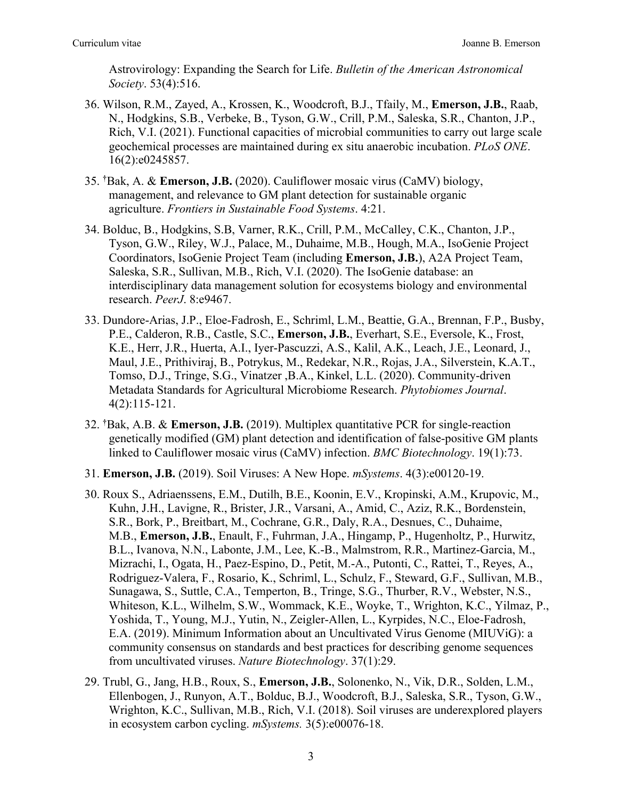Astrovirology: Expanding the Search for Life. *Bulletin of the American Astronomical Society*. 53(4):516.

- 36. Wilson, R.M., Zayed, A., Krossen, K., Woodcroft, B.J., Tfaily, M., **Emerson, J.B.**, Raab, N., Hodgkins, S.B., Verbeke, B., Tyson, G.W., Crill, P.M., Saleska, S.R., Chanton, J.P., Rich, V.I. (2021). Functional capacities of microbial communities to carry out large scale geochemical processes are maintained during ex situ anaerobic incubation. *PLoS ONE*. 16(2):e0245857.
- 35. **†** Bak, A. & **Emerson, J.B.** (2020). Cauliflower mosaic virus (CaMV) biology, management, and relevance to GM plant detection for sustainable organic agriculture. *Frontiers in Sustainable Food Systems*. 4:21.
	- 34. Bolduc, B., Hodgkins, S.B, Varner, R.K., Crill, P.M., McCalley, C.K., Chanton, J.P., Tyson, G.W., Riley, W.J., Palace, M., Duhaime, M.B., Hough, M.A., IsoGenie Project Coordinators, IsoGenie Project Team (including **Emerson, J.B.**), A2A Project Team, Saleska, S.R., Sullivan, M.B., Rich, V.I. (2020). The IsoGenie database: an interdisciplinary data management solution for ecosystems biology and environmental research. *PeerJ*. 8:e9467.
	- 33. Dundore-Arias, J.P., Eloe-Fadrosh, E., Schriml, L.M., Beattie, G.A., Brennan, F.P., Busby, P.E., Calderon, R.B., Castle, S.C., **Emerson, J.B.**, Everhart, S.E., Eversole, K., Frost, K.E., Herr, J.R., Huerta, A.I., Iyer-Pascuzzi, A.S., Kalil, A.K., Leach, J.E., Leonard, J., Maul, J.E., Prithiviraj, B., Potrykus, M., Redekar, N.R., Rojas, J.A., Silverstein, K.A.T., Tomso, D.J., Tringe, S.G., Vinatzer ,B.A., Kinkel, L.L. (2020). Community-driven Metadata Standards for Agricultural Microbiome Research. *Phytobiomes Journal*. 4(2):115-121.
- 32. **†** Bak, A.B. & **Emerson, J.B.** (2019). Multiplex quantitative PCR for single-reaction genetically modified (GM) plant detection and identification of false-positive GM plants linked to Cauliflower mosaic virus (CaMV) infection. *BMC Biotechnology*. 19(1):73.
	- 31. **Emerson, J.B.** (2019). Soil Viruses: A New Hope. *mSystems*. 4(3):e00120-19.
	- 30. Roux S., Adriaenssens, E.M., Dutilh, B.E., Koonin, E.V., Kropinski, A.M., Krupovic, M., Kuhn, J.H., Lavigne, R., Brister, J.R., Varsani, A., Amid, C., Aziz, R.K., Bordenstein, S.R., Bork, P., Breitbart, M., Cochrane, G.R., Daly, R.A., Desnues, C., Duhaime, M.B., **Emerson, J.B.**, Enault, F., Fuhrman, J.A., Hingamp, P., Hugenholtz, P., Hurwitz, B.L., Ivanova, N.N., Labonte, J.M., Lee, K.-B., Malmstrom, R.R., Martinez-Garcia, M., Mizrachi, I., Ogata, H., Paez-Espino, D., Petit, M.-A., Putonti, C., Rattei, T., Reyes, A., Rodriguez-Valera, F., Rosario, K., Schriml, L., Schulz, F., Steward, G.F., Sullivan, M.B., Sunagawa, S., Suttle, C.A., Temperton, B., Tringe, S.G., Thurber, R.V., Webster, N.S., Whiteson, K.L., Wilhelm, S.W., Wommack, K.E., Woyke, T., Wrighton, K.C., Yilmaz, P., Yoshida, T., Young, M.J., Yutin, N., Zeigler-Allen, L., Kyrpides, N.C., Eloe-Fadrosh, E.A. (2019). Minimum Information about an Uncultivated Virus Genome (MIUViG): a community consensus on standards and best practices for describing genome sequences from uncultivated viruses. *Nature Biotechnology*. 37(1):29.
	- 29. Trubl, G., Jang, H.B., Roux, S., **Emerson, J.B.**, Solonenko, N., Vik, D.R., Solden, L.M., Ellenbogen, J., Runyon, A.T., Bolduc, B.J., Woodcroft, B.J., Saleska, S.R., Tyson, G.W., Wrighton, K.C., Sullivan, M.B., Rich, V.I. (2018). Soil viruses are underexplored players in ecosystem carbon cycling. *mSystems.* 3(5):e00076-18.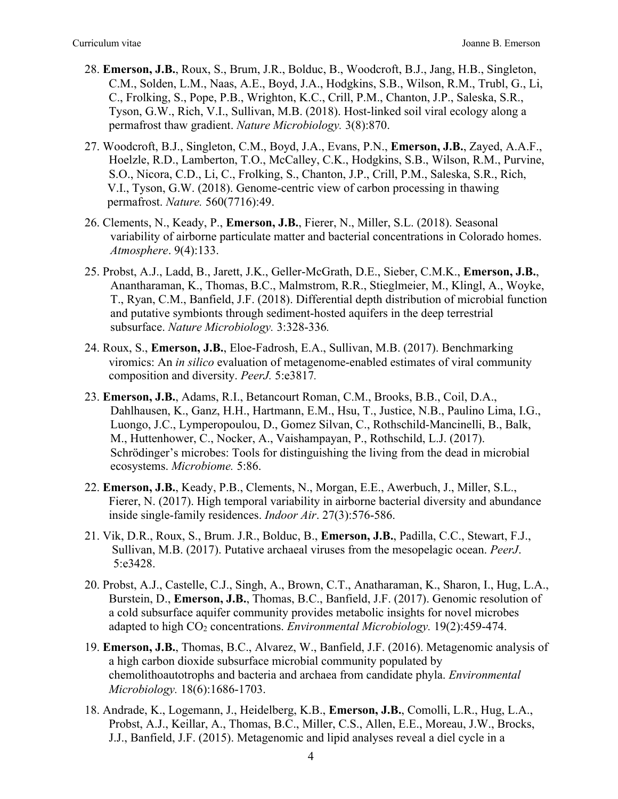- 28. **Emerson, J.B.**, Roux, S., Brum, J.R., Bolduc, B., Woodcroft, B.J., Jang, H.B., Singleton, C.M., Solden, L.M., Naas, A.E., Boyd, J.A., Hodgkins, S.B., Wilson, R.M., Trubl, G., Li, C., Frolking, S., Pope, P.B., Wrighton, K.C., Crill, P.M., Chanton, J.P., Saleska, S.R., Tyson, G.W., Rich, V.I., Sullivan, M.B. (2018). Host-linked soil viral ecology along a permafrost thaw gradient. *Nature Microbiology.* 3(8):870.
- 27. Woodcroft, B.J., Singleton, C.M., Boyd, J.A., Evans, P.N., **Emerson, J.B.**, Zayed, A.A.F., Hoelzle, R.D., Lamberton, T.O., McCalley, C.K., Hodgkins, S.B., Wilson, R.M., Purvine, S.O., Nicora, C.D., Li, C., Frolking, S., Chanton, J.P., Crill, P.M., Saleska, S.R., Rich, V.I., Tyson, G.W. (2018). Genome-centric view of carbon processing in thawing permafrost. *Nature.* 560(7716):49.
- 26. Clements, N., Keady, P., **Emerson, J.B.**, Fierer, N., Miller, S.L. (2018). Seasonal variability of airborne particulate matter and bacterial concentrations in Colorado homes. *Atmosphere*. 9(4):133.
- 25. Probst, A.J., Ladd, B., Jarett, J.K., Geller-McGrath, D.E., Sieber, C.M.K., **Emerson, J.B.**, Anantharaman, K., Thomas, B.C., Malmstrom, R.R., Stieglmeier, M., Klingl, A., Woyke, T., Ryan, C.M., Banfield, J.F. (2018). Differential depth distribution of microbial function and putative symbionts through sediment-hosted aquifers in the deep terrestrial subsurface. *Nature Microbiology.* 3:328-336*.*
- 24. Roux, S., **Emerson, J.B.**, Eloe-Fadrosh, E.A., Sullivan, M.B. (2017). Benchmarking viromics: An *in silico* evaluation of metagenome-enabled estimates of viral community composition and diversity. *PeerJ.* 5:e3817*.*
- 23. **Emerson, J.B.**, Adams, R.I., Betancourt Roman, C.M., Brooks, B.B., Coil, D.A., Dahlhausen, K., Ganz, H.H., Hartmann, E.M., Hsu, T., Justice, N.B., Paulino Lima, I.G., Luongo, J.C., Lymperopoulou, D., Gomez Silvan, C., Rothschild-Mancinelli, B., Balk, M., Huttenhower, C., Nocker, A., Vaishampayan, P., Rothschild, L.J. (2017). Schrödinger's microbes: Tools for distinguishing the living from the dead in microbial ecosystems. *Microbiome.* 5:86.
- 22. **Emerson, J.B.**, Keady, P.B., Clements, N., Morgan, E.E., Awerbuch, J., Miller, S.L., Fierer, N. (2017). High temporal variability in airborne bacterial diversity and abundance inside single-family residences. *Indoor Air*. 27(3):576-586.
- 21. Vik, D.R., Roux, S., Brum. J.R., Bolduc, B., **Emerson, J.B.**, Padilla, C.C., Stewart, F.J., Sullivan, M.B. (2017). Putative archaeal viruses from the mesopelagic ocean. *PeerJ*. 5:e3428.
- 20. Probst, A.J., Castelle, C.J., Singh, A., Brown, C.T., Anatharaman, K., Sharon, I., Hug, L.A., Burstein, D., **Emerson, J.B.**, Thomas, B.C., Banfield, J.F. (2017). Genomic resolution of a cold subsurface aquifer community provides metabolic insights for novel microbes adapted to high CO<sub>2</sub> concentrations. *Environmental Microbiology*. 19(2):459-474.
- 19. **Emerson, J.B.**, Thomas, B.C., Alvarez, W., Banfield, J.F. (2016). Metagenomic analysis of a high carbon dioxide subsurface microbial community populated by chemolithoautotrophs and bacteria and archaea from candidate phyla. *Environmental Microbiology.* 18(6):1686-1703.
- 18. Andrade, K., Logemann, J., Heidelberg, K.B., **Emerson, J.B.**, Comolli, L.R., Hug, L.A., Probst, A.J., Keillar, A., Thomas, B.C., Miller, C.S., Allen, E.E., Moreau, J.W., Brocks, J.J., Banfield, J.F. (2015). Metagenomic and lipid analyses reveal a diel cycle in a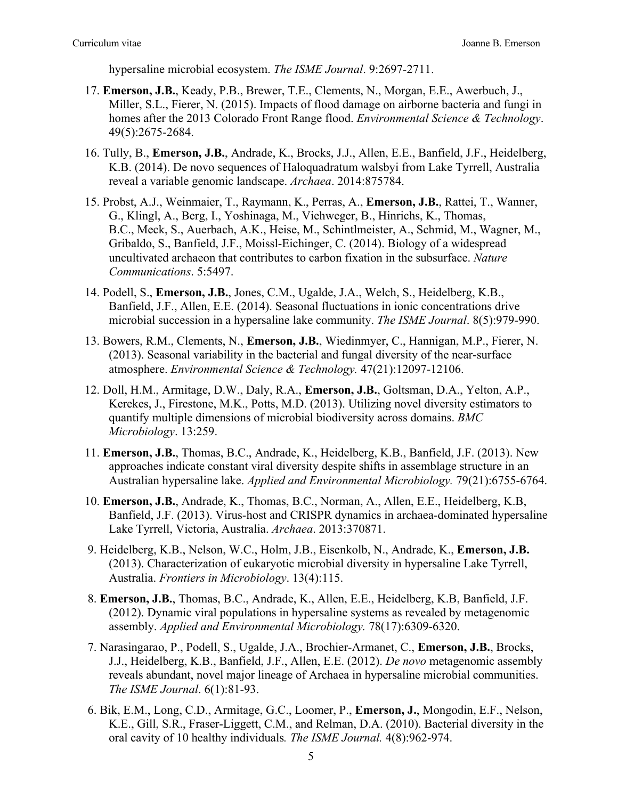hypersaline microbial ecosystem. *The ISME Journal*. 9:2697-2711.

- 17. **Emerson, J.B.**, Keady, P.B., Brewer, T.E., Clements, N., Morgan, E.E., Awerbuch, J., Miller, S.L., Fierer, N. (2015). Impacts of flood damage on airborne bacteria and fungi in homes after the 2013 Colorado Front Range flood. *Environmental Science & Technology*. 49(5):2675-2684.
- 16. Tully, B., **Emerson, J.B.**, Andrade, K., Brocks, J.J., Allen, E.E., Banfield, J.F., Heidelberg, K.B. (2014). De novo sequences of Haloquadratum walsbyi from Lake Tyrrell, Australia reveal a variable genomic landscape. *Archaea*. 2014:875784.
- 15. Probst, A.J., Weinmaier, T., Raymann, K., Perras, A., **Emerson, J.B.**, Rattei, T., Wanner, G., Klingl, A., Berg, I., Yoshinaga, M., Viehweger, B., Hinrichs, K., Thomas, B.C., Meck, S., Auerbach, A.K., Heise, M., Schintlmeister, A., Schmid, M., Wagner, M., Gribaldo, S., Banfield, J.F., Moissl-Eichinger, C. (2014). Biology of a widespread uncultivated archaeon that contributes to carbon fixation in the subsurface. *Nature Communications*. 5:5497.
- 14. Podell, S., **Emerson, J.B.**, Jones, C.M., Ugalde, J.A., Welch, S., Heidelberg, K.B., Banfield, J.F., Allen, E.E. (2014). Seasonal fluctuations in ionic concentrations drive microbial succession in a hypersaline lake community. *The ISME Journal*. 8(5):979-990.
- 13. Bowers, R.M., Clements, N., **Emerson, J.B.**, Wiedinmyer, C., Hannigan, M.P., Fierer, N. (2013). Seasonal variability in the bacterial and fungal diversity of the near-surface atmosphere. *Environmental Science & Technology.* 47(21):12097-12106.
- 12. Doll, H.M., Armitage, D.W., Daly, R.A., **Emerson, J.B.**, Goltsman, D.A., Yelton, A.P., Kerekes, J., Firestone, M.K., Potts, M.D. (2013). Utilizing novel diversity estimators to quantify multiple dimensions of microbial biodiversity across domains. *BMC Microbiology*. 13:259.
- 11. **Emerson, J.B.**, Thomas, B.C., Andrade, K., Heidelberg, K.B., Banfield, J.F. (2013). New approaches indicate constant viral diversity despite shifts in assemblage structure in an Australian hypersaline lake. *Applied and Environmental Microbiology.* 79(21):6755-6764.
- 10. **Emerson, J.B.**, Andrade, K., Thomas, B.C., Norman, A., Allen, E.E., Heidelberg, K.B, Banfield, J.F. (2013). Virus-host and CRISPR dynamics in archaea-dominated hypersaline Lake Tyrrell, Victoria, Australia. *Archaea*. 2013:370871.
- 9. Heidelberg, K.B., Nelson, W.C., Holm, J.B., Eisenkolb, N., Andrade, K., **Emerson, J.B.** (2013). Characterization of eukaryotic microbial diversity in hypersaline Lake Tyrrell, Australia. *Frontiers in Microbiology*. 13(4):115.
- 8. **Emerson, J.B.**, Thomas, B.C., Andrade, K., Allen, E.E., Heidelberg, K.B, Banfield, J.F. (2012). Dynamic viral populations in hypersaline systems as revealed by metagenomic assembly. *Applied and Environmental Microbiology.* 78(17):6309-6320.
- 7. Narasingarao, P., Podell, S., Ugalde, J.A., Brochier-Armanet, C., **Emerson, J.B.**, Brocks, J.J., Heidelberg, K.B., Banfield, J.F., Allen, E.E. (2012). *De novo* metagenomic assembly reveals abundant, novel major lineage of Archaea in hypersaline microbial communities. *The ISME Journal*. 6(1):81-93.
- 6. Bik, E.M., Long, C.D., Armitage, G.C., Loomer, P., **Emerson, J.**, Mongodin, E.F., Nelson, K.E., Gill, S.R., Fraser-Liggett, C.M., and Relman, D.A. (2010). Bacterial diversity in the oral cavity of 10 healthy individuals*. The ISME Journal.* 4(8):962-974.